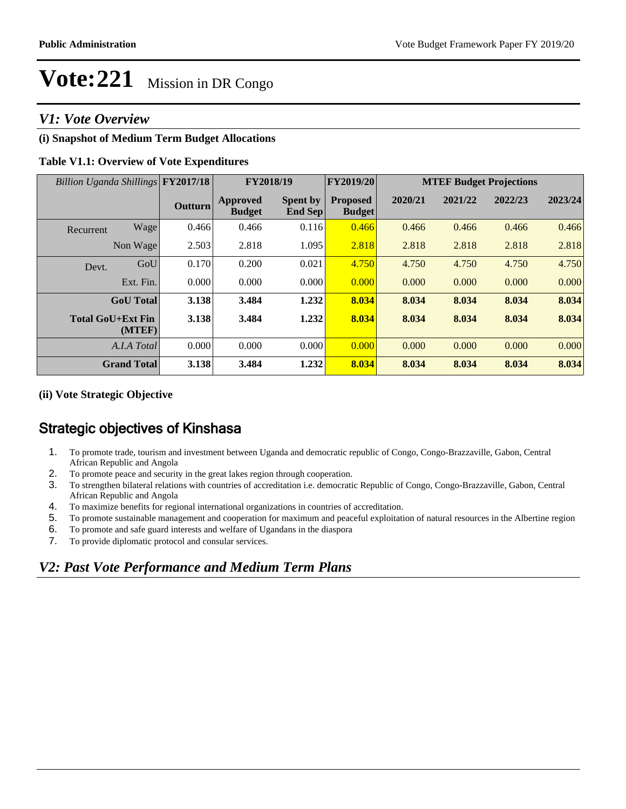### *V1: Vote Overview*

### **(i) Snapshot of Medium Term Budget Allocations**

#### **Table V1.1: Overview of Vote Expenditures**

| Billion Uganda Shillings FY2017/18 |                |                                  | FY2018/19                  | FY2019/20                        | <b>MTEF Budget Projections</b> |         |         |         |
|------------------------------------|----------------|----------------------------------|----------------------------|----------------------------------|--------------------------------|---------|---------|---------|
|                                    | <b>Outturn</b> | <b>Approved</b><br><b>Budget</b> | <b>Spent by</b><br>End Sep | <b>Proposed</b><br><b>Budget</b> | 2020/21                        | 2021/22 | 2022/23 | 2023/24 |
| Wage<br>Recurrent                  | 0.466          | 0.466                            | 0.116                      | 0.466                            | 0.466                          | 0.466   | 0.466   | 0.466   |
| Non Wage                           | 2.503          | 2.818                            | 1.095                      | 2.818                            | 2.818                          | 2.818   | 2.818   | 2.818   |
| GoU<br>Devt.                       | 0.170          | 0.200                            | 0.021                      | 4.750                            | 4.750                          | 4.750   | 4.750   | 4.750   |
| Ext. Fin.                          | 0.000          | 0.000                            | 0.000                      | 0.000                            | 0.000                          | 0.000   | 0.000   | 0.000   |
| <b>GoU</b> Total                   | 3.138          | 3.484                            | 1.232                      | 8.034                            | 8.034                          | 8.034   | 8.034   | 8.034   |
| <b>Total GoU+Ext Fin</b><br>(MTEF) | 3.138          | 3.484                            | 1.232                      | 8.034                            | 8.034                          | 8.034   | 8.034   | 8.034   |
| A.I.A Total                        | 0.000          | 0.000                            | 0.000                      | 0.000                            | 0.000                          | 0.000   | 0.000   | 0.000   |
| <b>Grand Total</b>                 | 3.138          | 3.484                            | 1.232                      | 8.034                            | 8.034                          | 8.034   | 8.034   | 8.034   |

#### **(ii) Vote Strategic Objective**

### Strategic objectives of Kinshasa

- 1. To promote trade, tourism and investment between Uganda and democratic republic of Congo, Congo-Brazzaville, Gabon, Central African Republic and Angola
- 2. To promote peace and security in the great lakes region through cooperation.
- 3. To strengthen bilateral relations with countries of accreditation i.e. democratic Republic of Congo, Congo-Brazzaville, Gabon, Central African Republic and Angola
- 4. To maximize benefits for regional international organizations in countries of accreditation.
- 5. To promote sustainable management and cooperation for maximum and peaceful exploitation of natural resources in the Albertine region
- 6. To promote and safe guard interests and welfare of Ugandans in the diaspora
- 7. To provide diplomatic protocol and consular services.

### *V2: Past Vote Performance and Medium Term Plans*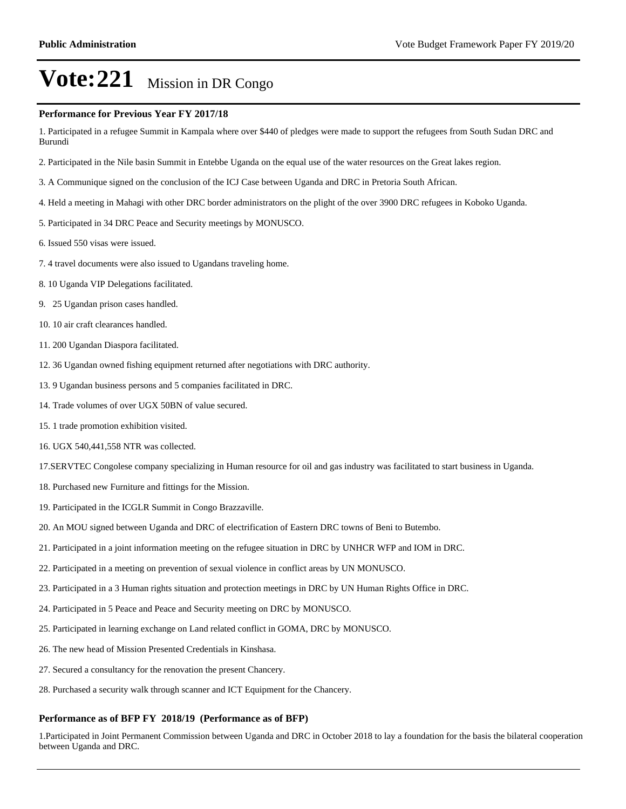#### **Performance for Previous Year FY 2017/18**

1. Participated in a refugee Summit in Kampala where over \$440 of pledges were made to support the refugees from South Sudan DRC and Burundi

- 2. Participated in the Nile basin Summit in Entebbe Uganda on the equal use of the water resources on the Great lakes region.
- 3. A Communique signed on the conclusion of the ICJ Case between Uganda and DRC in Pretoria South African.
- 4. Held a meeting in Mahagi with other DRC border administrators on the plight of the over 3900 DRC refugees in Koboko Uganda.
- 5. Participated in 34 DRC Peace and Security meetings by MONUSCO.
- 6. Issued 550 visas were issued.
- 7. 4 travel documents were also issued to Ugandans traveling home.
- 8. 10 Uganda VIP Delegations facilitated.
- 9. 25 Ugandan prison cases handled.
- 10. 10 air craft clearances handled.
- 11. 200 Ugandan Diaspora facilitated.
- 12. 36 Ugandan owned fishing equipment returned after negotiations with DRC authority.
- 13. 9 Ugandan business persons and 5 companies facilitated in DRC.
- 14. Trade volumes of over UGX 50BN of value secured.
- 15. 1 trade promotion exhibition visited.
- 16. UGX 540,441,558 NTR was collected.
- 17.SERVTEC Congolese company specializing in Human resource for oil and gas industry was facilitated to start business in Uganda.
- 18. Purchased new Furniture and fittings for the Mission.
- 19. Participated in the ICGLR Summit in Congo Brazzaville.
- 20. An MOU signed between Uganda and DRC of electrification of Eastern DRC towns of Beni to Butembo.
- 21. Participated in a joint information meeting on the refugee situation in DRC by UNHCR WFP and IOM in DRC.
- 22. Participated in a meeting on prevention of sexual violence in conflict areas by UN MONUSCO.
- 23. Participated in a 3 Human rights situation and protection meetings in DRC by UN Human Rights Office in DRC.
- 24. Participated in 5 Peace and Peace and Security meeting on DRC by MONUSCO.
- 25. Participated in learning exchange on Land related conflict in GOMA, DRC by MONUSCO.
- 26. The new head of Mission Presented Credentials in Kinshasa.
- 27. Secured a consultancy for the renovation the present Chancery.
- 28. Purchased a security walk through scanner and ICT Equipment for the Chancery.

#### **Performance as of BFP FY 2018/19 (Performance as of BFP)**

1.Participated in Joint Permanent Commission between Uganda and DRC in October 2018 to lay a foundation for the basis the bilateral cooperation between Uganda and DRC.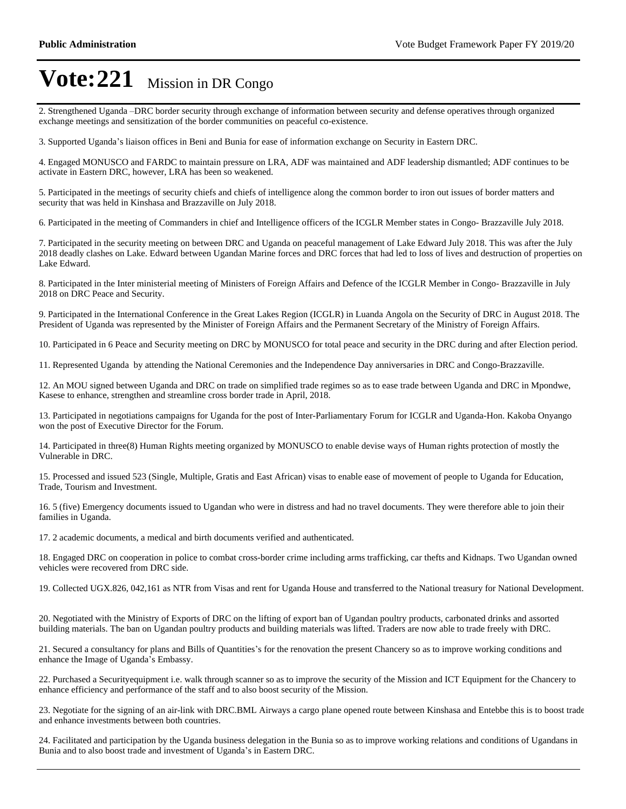2. Strengthened Uganda -DRC border security through exchange of information between security and defense operatives through organized exchange meetings and sensitization of the border communities on peaceful co-existence.

3. Supported Uganda's liaison offices in Beni and Bunia for ease of information exchange on Security in Eastern DRC.

4. Engaged MONUSCO and FARDC to maintain pressure on LRA, ADF was maintained and ADF leadership dismantled; ADF continues to be activate in Eastern DRC, however, LRA has been so weakened.

5. Participated in the meetings of security chiefs and chiefs of intelligence along the common border to iron out issues of border matters and security that was held in Kinshasa and Brazzaville on July 2018.

6. Participated in the meeting of Commanders in chief and Intelligence officers of the ICGLR Member states in Congo- Brazzaville July 2018.

7. Participated in the security meeting on between DRC and Uganda on peaceful management of Lake Edward July 2018. This was after the July 2018 deadly clashes on Lake. Edward between Ugandan Marine forces and DRC forces that had led to loss of lives and destruction of properties on Lake Edward.

8. Participated in the Inter ministerial meeting of Ministers of Foreign Affairs and Defence of the ICGLR Member in Congo- Brazzaville in July 2018 on DRC Peace and Security.

9. Participated in the International Conference in the Great Lakes Region (ICGLR) in Luanda Angola on the Security of DRC in August 2018. The President of Uganda was represented by the Minister of Foreign Affairs and the Permanent Secretary of the Ministry of Foreign Affairs.

10. Participated in 6 Peace and Security meeting on DRC by MONUSCO for total peace and security in the DRC during and after Election period.

11. Represented Uganda by attending the National Ceremonies and the Independence Day anniversaries in DRC and Congo-Brazzaville.

12. An MOU signed between Uganda and DRC on trade on simplified trade regimes so as to ease trade between Uganda and DRC in Mpondwe, Kasese to enhance, strengthen and streamline cross border trade in April, 2018.

13. Participated in negotiations campaigns for Uganda for the post of Inter-Parliamentary Forum for ICGLR and Uganda-Hon. Kakoba Onyango won the post of Executive Director for the Forum.

14. Participated in three(8) Human Rights meeting organized by MONUSCO to enable devise ways of Human rights protection of mostly the Vulnerable in DRC.

15. Processed and issued 523 (Single, Multiple, Gratis and East African) visas to enable ease of movement of people to Uganda for Education, Trade, Tourism and Investment.

16. 5 (five) Emergency documents issued to Ugandan who were in distress and had no travel documents. They were therefore able to join their families in Uganda.

17. 2 academic documents, a medical and birth documents verified and authenticated.

18. Engaged DRC on cooperation in police to combat cross-border crime including arms trafficking, car thefts and Kidnaps. Two Ugandan owned vehicles were recovered from DRC side.

19. Collected UGX.826, 042,161 as NTR from Visas and rent for Uganda House and transferred to the National treasury for National Development.

20. Negotiated with the Ministry of Exports of DRC on the lifting of export ban of Ugandan poultry products, carbonated drinks and assorted building materials. The ban on Ugandan poultry products and building materials was lifted. Traders are now able to trade freely with DRC.

21. Secured a consultancy for plans and Bills of Quantities's for the renovation the present Chancery so as to improve working conditions and enhance the Image of Uganda's Embassy.

22. Purchased a Securityequipment i.e. walk through scanner so as to improve the security of the Mission and ICT Equipment for the Chancery to enhance efficiency and performance of the staff and to also boost security of the Mission.

23. Negotiate for the signing of an air-link with DRC.BML Airways a cargo plane opened route between Kinshasa and Entebbe this is to boost trade and enhance investments between both countries.

24. Facilitated and participation by the Uganda business delegation in the Bunia so as to improve working relations and conditions of Ugandans in Bunia and to also boost trade and investment of Uganda's in Eastern DRC.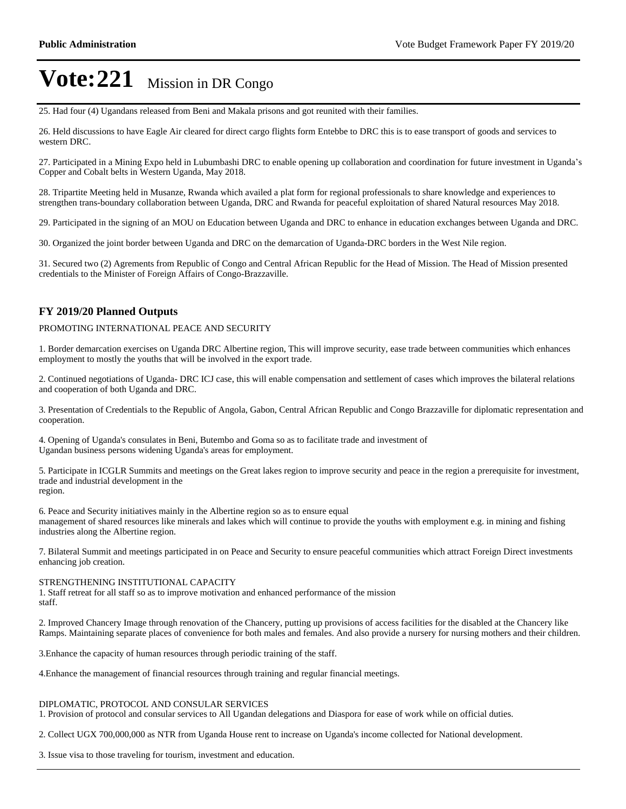25. Had four (4) Ugandans released from Beni and Makala prisons and got reunited with their families.

26. Held discussions to have Eagle Air cleared for direct cargo flights form Entebbe to DRC this is to ease transport of goods and services to western DRC.

27. Participated in a Mining Expo held in Lubumbashi DRC to enable opening up collaboration and coordination for future investment in Uganda's Copper and Cobalt belts in Western Uganda, May 2018.

28. Tripartite Meeting held in Musanze, Rwanda which availed a plat form for regional professionals to share knowledge and experiences to strengthen trans-boundary collaboration between Uganda, DRC and Rwanda for peaceful exploitation of shared Natural resources May 2018.

29. Participated in the signing of an MOU on Education between Uganda and DRC to enhance in education exchanges between Uganda and DRC.

30. Organized the joint border between Uganda and DRC on the demarcation of Uganda-DRC borders in the West Nile region.

31. Secured two (2) Agrements from Republic of Congo and Central African Republic for the Head of Mission. The Head of Mission presented credentials to the Minister of Foreign Affairs of Congo-Brazzaville.

#### **FY 2019/20 Planned Outputs**

#### PROMOTING INTERNATIONAL PEACE AND SECURITY

1. Border demarcation exercises on Uganda DRC Albertine region, This will improve security, ease trade between communities which enhances employment to mostly the youths that will be involved in the export trade.

2. Continued negotiations of Uganda- DRC ICJ case, this will enable compensation and settlement of cases which improves the bilateral relations and cooperation of both Uganda and DRC.

3. Presentation of Credentials to the Republic of Angola, Gabon, Central African Republic and Congo Brazzaville for diplomatic representation and cooperation.

4. Opening of Uganda's consulates in Beni, Butembo and Goma so as to facilitate trade and investment of Ugandan business persons widening Uganda's areas for employment.

5. Participate in ICGLR Summits and meetings on the Great lakes region to improve security and peace in the region a prerequisite for investment, trade and industrial development in the region.

6. Peace and Security initiatives mainly in the Albertine region so as to ensure equal management of shared resources like minerals and lakes which will continue to provide the youths with employment e.g. in mining and fishing industries along the Albertine region.

7. Bilateral Summit and meetings participated in on Peace and Security to ensure peaceful communities which attract Foreign Direct investments enhancing job creation.

#### STRENGTHENING INSTITUTIONAL CAPACITY

1. Staff retreat for all staff so as to improve motivation and enhanced performance of the mission staff.

2. Improved Chancery Image through renovation of the Chancery, putting up provisions of access facilities for the disabled at the Chancery like Ramps. Maintaining separate places of convenience for both males and females. And also provide a nursery for nursing mothers and their children.

3.Enhance the capacity of human resources through periodic training of the staff.

4.Enhance the management of financial resources through training and regular financial meetings.

#### DIPLOMATIC, PROTOCOL AND CONSULAR SERVICES

1. Provision of protocol and consular services to All Ugandan delegations and Diaspora for ease of work while on official duties.

2. Collect UGX 700,000,000 as NTR from Uganda House rent to increase on Uganda's income collected for National development.

3. Issue visa to those traveling for tourism, investment and education.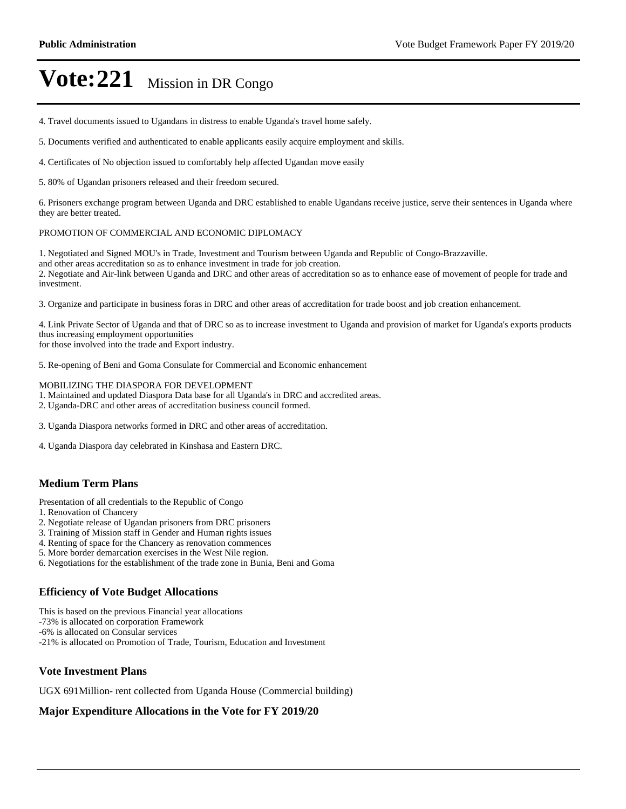4. Travel documents issued to Ugandans in distress to enable Uganda's travel home safely.

5. Documents verified and authenticated to enable applicants easily acquire employment and skills.

4. Certificates of No objection issued to comfortably help affected Ugandan move easily

5. 80% of Ugandan prisoners released and their freedom secured.

6. Prisoners exchange program between Uganda and DRC established to enable Ugandans receive justice, serve their sentences in Uganda where they are better treated.

#### PROMOTION OF COMMERCIAL AND ECONOMIC DIPLOMACY

1. Negotiated and Signed MOU's in Trade, Investment and Tourism between Uganda and Republic of Congo-Brazzaville. and other areas accreditation so as to enhance investment in trade for job creation. 2. Negotiate and Air-link between Uganda and DRC and other areas of accreditation so as to enhance ease of movement of people for trade and investment.

3. Organize and participate in business foras in DRC and other areas of accreditation for trade boost and job creation enhancement.

4. Link Private Sector of Uganda and that of DRC so as to increase investment to Uganda and provision of market for Uganda's exports products thus increasing employment opportunities

for those involved into the trade and Export industry.

5. Re-opening of Beni and Goma Consulate for Commercial and Economic enhancement

MOBILIZING THE DIASPORA FOR DEVELOPMENT

1. Maintained and updated Diaspora Data base for all Uganda's in DRC and accredited areas.

2. Uganda-DRC and other areas of accreditation business council formed.

3. Uganda Diaspora networks formed in DRC and other areas of accreditation.

4. Uganda Diaspora day celebrated in Kinshasa and Eastern DRC.

#### **Medium Term Plans**

Presentation of all credentials to the Republic of Congo

- 1. Renovation of Chancery
- 2. Negotiate release of Ugandan prisoners from DRC prisoners
- 3. Training of Mission staff in Gender and Human rights issues
- 4. Renting of space for the Chancery as renovation commences
- 5. More border demarcation exercises in the West Nile region.
- 6. Negotiations for the establishment of the trade zone in Bunia, Beni and Goma

#### **Efficiency of Vote Budget Allocations**

This is based on the previous Financial year allocations

-73% is allocated on corporation Framework

-6% is allocated on Consular services

-21% is allocated on Promotion of Trade, Tourism, Education and Investment

#### **Vote Investment Plans**

UGX 691Million- rent collected from Uganda House (Commercial building)

### **Major Expenditure Allocations in the Vote for FY 2019/20**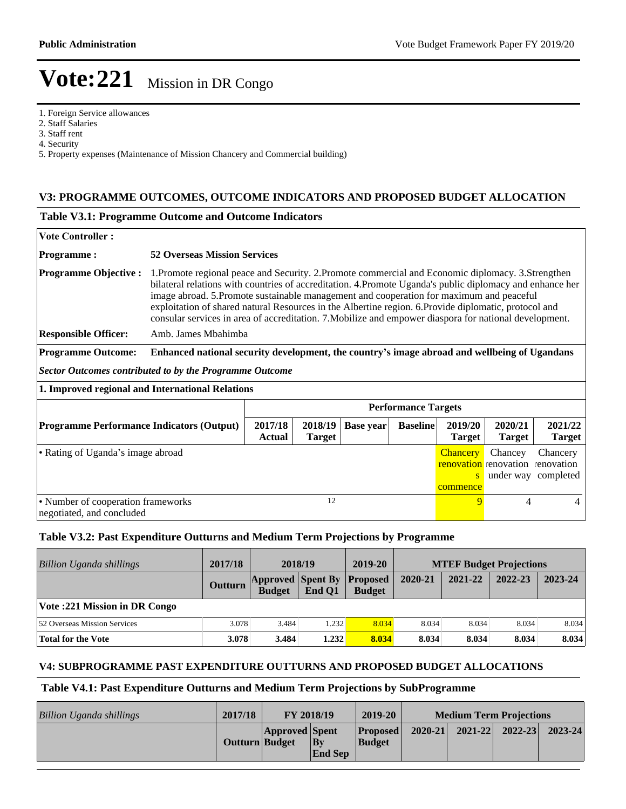1. Foreign Service allowances

2. Staff Salaries

3. Staff rent

4. Security

5. Property expenses (Maintenance of Mission Chancery and Commercial building)

#### **V3: PROGRAMME OUTCOMES, OUTCOME INDICATORS AND PROPOSED BUDGET ALLOCATION**

#### **Table V3.1: Programme Outcome and Outcome Indicators**

| <b>Vote Controller:</b>                                         |                                                                                                                                                                                                                                                                                                                                                                                                                                                                                                                                                     |                            |                          |                  |                 |                                  |                                                                 |                          |  |  |
|-----------------------------------------------------------------|-----------------------------------------------------------------------------------------------------------------------------------------------------------------------------------------------------------------------------------------------------------------------------------------------------------------------------------------------------------------------------------------------------------------------------------------------------------------------------------------------------------------------------------------------------|----------------------------|--------------------------|------------------|-----------------|----------------------------------|-----------------------------------------------------------------|--------------------------|--|--|
| <b>Programme:</b>                                               | <b>52 Overseas Mission Services</b>                                                                                                                                                                                                                                                                                                                                                                                                                                                                                                                 |                            |                          |                  |                 |                                  |                                                                 |                          |  |  |
| <b>Programme Objective:</b><br><b>Responsible Officer:</b>      | 1. Promote regional peace and Security. 2. Promote commercial and Economic diplomacy. 3. Strengthen<br>bilateral relations with countries of accreditation. 4.Promote Uganda's public diplomacy and enhance her<br>image abroad. 5.Promote sustainable management and cooperation for maximum and peaceful<br>exploitation of shared natural Resources in the Albertine region. 6.Provide diplomatic, protocol and<br>consular services in area of accreditation. 7. Mobilize and empower diaspora for national development.<br>Amb. James Mbahimba |                            |                          |                  |                 |                                  |                                                                 |                          |  |  |
| <b>Programme Outcome:</b>                                       | Enhanced national security development, the country's image abroad and wellbeing of Ugandans                                                                                                                                                                                                                                                                                                                                                                                                                                                        |                            |                          |                  |                 |                                  |                                                                 |                          |  |  |
|                                                                 |                                                                                                                                                                                                                                                                                                                                                                                                                                                                                                                                                     |                            |                          |                  |                 |                                  |                                                                 |                          |  |  |
| <b>Sector Outcomes contributed to by the Programme Outcome</b>  |                                                                                                                                                                                                                                                                                                                                                                                                                                                                                                                                                     |                            |                          |                  |                 |                                  |                                                                 |                          |  |  |
| 1. Improved regional and International Relations                |                                                                                                                                                                                                                                                                                                                                                                                                                                                                                                                                                     |                            |                          |                  |                 |                                  |                                                                 |                          |  |  |
|                                                                 |                                                                                                                                                                                                                                                                                                                                                                                                                                                                                                                                                     | <b>Performance Targets</b> |                          |                  |                 |                                  |                                                                 |                          |  |  |
| <b>Programme Performance Indicators (Output)</b>                |                                                                                                                                                                                                                                                                                                                                                                                                                                                                                                                                                     | 2017/18<br>Actual          | 2018/19<br><b>Target</b> | <b>Base year</b> | <b>Baseline</b> | 2019/20<br><b>Target</b>         | 2020/21<br><b>Target</b>                                        | 2021/22<br><b>Target</b> |  |  |
| • Rating of Uganda's image abroad                               |                                                                                                                                                                                                                                                                                                                                                                                                                                                                                                                                                     |                            |                          |                  |                 | <b>Chancery</b><br>S<br>commence | Chancey<br><b>renovation</b> renovation renovation<br>under way | Chancery<br>completed    |  |  |
| • Number of cooperation frameworks<br>negotiated, and concluded |                                                                                                                                                                                                                                                                                                                                                                                                                                                                                                                                                     |                            | 12                       |                  |                 | 9                                | 4                                                               | 4                        |  |  |

#### **Table V3.2: Past Expenditure Outturns and Medium Term Projections by Programme**

| <b>Billion Uganda shillings</b>     | 2017/18 | 2018/19                                            |        | 2019-20       | <b>MTEF Budget Projections</b> |         |         |         |
|-------------------------------------|---------|----------------------------------------------------|--------|---------------|--------------------------------|---------|---------|---------|
|                                     | Outturn | <b>Approved Spent By Proposed</b><br><b>Budget</b> | End O1 | <b>Budget</b> | 2020-21                        | 2021-22 | 2022-23 | 2023-24 |
| Vote :221 Mission in DR Congo       |         |                                                    |        |               |                                |         |         |         |
| <b>52 Overseas Mission Services</b> | 3.078   | 3.484                                              | 1.232  | 8.034         | 8.034                          | 8.034   | 8.034   | 8.034   |
| Total for the Vote                  | 3.078   | 3.484                                              | 1.232  | 8.034         | 8.034                          | 8.034   | 8.034   | 8.034   |

#### **V4: SUBPROGRAMME PAST EXPENDITURE OUTTURNS AND PROPOSED BUDGET ALLOCATIONS**

#### **Table V4.1: Past Expenditure Outturns and Medium Term Projections by SubProgramme**

| <b>Billion Uganda shillings</b> | 2017/18        | <b>FY 2018/19</b>     |                                          | 2019-20                    | <b>Medium Term Projections</b> |                     |  |             |
|---------------------------------|----------------|-----------------------|------------------------------------------|----------------------------|--------------------------------|---------------------|--|-------------|
|                                 | Outturn Budget | <b>Approved Spent</b> | $\mathbf{B}\mathbf{v}$<br><b>End Sep</b> | Proposed <br><b>Budget</b> | $2020 - 21$                    | $2021 - 22$ 2022-23 |  | $2023 - 24$ |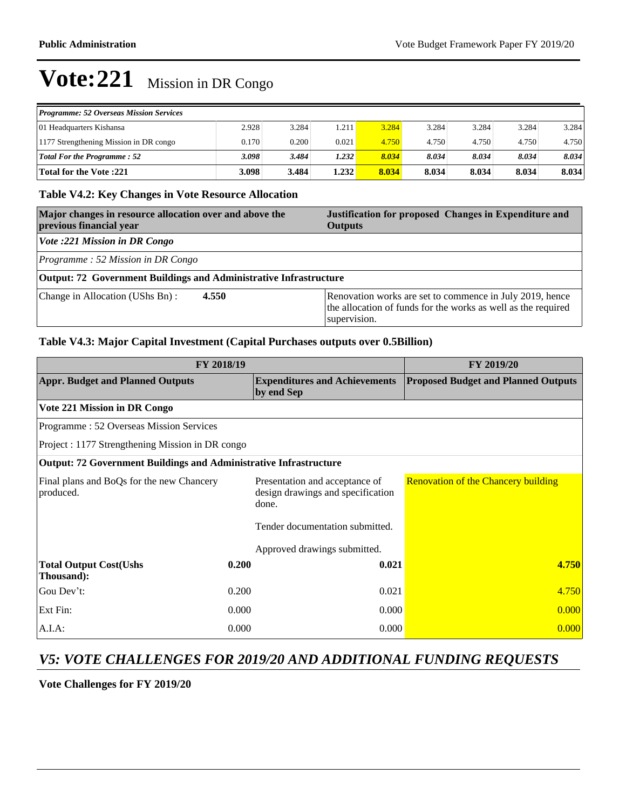| <b>Programme: 52 Overseas Mission Services</b> |       |       |       |       |       |       |       |       |
|------------------------------------------------|-------|-------|-------|-------|-------|-------|-------|-------|
| 01 Headquarters Kishansa                       | 2.928 | 3.284 | 1.211 | 3.284 | 3.284 | 3.284 | 3.284 | 3.284 |
| 1177 Strengthening Mission in DR congo         | 0.170 | 0.200 | 0.021 | 4.750 | 4.750 | 4.750 | 4.750 | 4.750 |
| <b>Total For the Programme: 52</b>             | 3.098 | 3.484 | 1.232 | 8.034 | 8.034 | 8.034 | 8.034 | 8.034 |
| <b>Total for the Vote :221</b>                 | 3.098 | 3.484 | 1.232 | 8.034 | 8.034 | 8.034 | 8.034 | 8.034 |

### **Table V4.2: Key Changes in Vote Resource Allocation**

| Major changes in resource allocation over and above the<br>previous financial year | Justification for proposed Changes in Expenditure and<br><b>Outputs</b>                                                                   |
|------------------------------------------------------------------------------------|-------------------------------------------------------------------------------------------------------------------------------------------|
| Vote :221 Mission in DR Congo                                                      |                                                                                                                                           |
| Programme: 52 Mission in DR Congo                                                  |                                                                                                                                           |
| Output: 72 Government Buildings and Administrative Infrastructure                  |                                                                                                                                           |
| 4.550<br>Change in Allocation (UShs Bn):                                           | Renovation works are set to commence in July 2019, hence<br>the allocation of funds for the works as well as the required<br>supervision. |

### **Table V4.3: Major Capital Investment (Capital Purchases outputs over 0.5Billion)**

| FY 2018/19                                                               | <b>FY 2019/20</b> |                                                                              |                                            |
|--------------------------------------------------------------------------|-------------------|------------------------------------------------------------------------------|--------------------------------------------|
| <b>Appr. Budget and Planned Outputs</b>                                  |                   | <b>Expenditures and Achievements</b><br>by end Sep                           | <b>Proposed Budget and Planned Outputs</b> |
| Vote 221 Mission in DR Congo                                             |                   |                                                                              |                                            |
| Programme: 52 Overseas Mission Services                                  |                   |                                                                              |                                            |
| Project : 1177 Strengthening Mission in DR congo                         |                   |                                                                              |                                            |
| <b>Output: 72 Government Buildings and Administrative Infrastructure</b> |                   |                                                                              |                                            |
| Final plans and BoQs for the new Chancery<br>produced.                   |                   | Presentation and acceptance of<br>design drawings and specification<br>done. | <b>Renovation of the Chancery building</b> |
|                                                                          |                   | Tender documentation submitted.                                              |                                            |
|                                                                          |                   | Approved drawings submitted.                                                 |                                            |
| <b>Total Output Cost(Ushs</b><br>Thousand):                              | 0.200             | 0.021                                                                        | 4.750                                      |
| Gou Dev't:                                                               | 0.200             | 0.021                                                                        | 4.750                                      |
| Ext Fin:                                                                 | 0.000             | 0.000                                                                        | 0.000                                      |
| A.I.A:                                                                   | 0.000             | 0.000                                                                        | 0.000                                      |

### *V5: VOTE CHALLENGES FOR 2019/20 AND ADDITIONAL FUNDING REQUESTS*

**Vote Challenges for FY 2019/20**